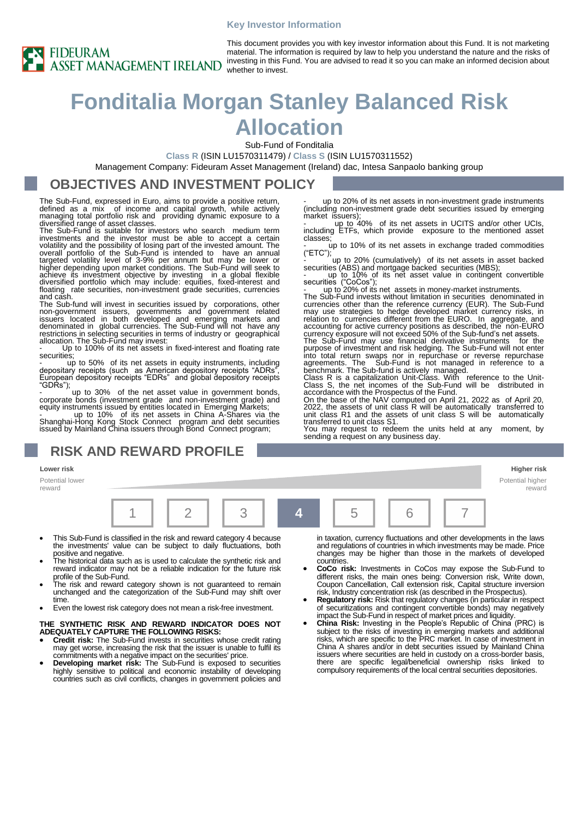#### **Key Investor Information**



This document provides you with key investor information about this Fund. It is not marketing material. The information is required by law to help you understand the nature and the risks of investing in this Fund. You are advised to read it so you can make an informed decision about whether to invest.

# **Fonditalia Morgan Stanley Balanced Risk Allocation**

Sub-Fund of Fonditalia

**Class R** (ISIN LU1570311479) / **Class S** (ISIN LU1570311552)

Management Company: Fideuram Asset Management (Ireland) dac, Intesa Sanpaolo banking group

### **OBJECTIVES AND INVESTMENT POLICY**

The Sub-Fund, expressed in Euro, aims to provide a positive return, defined as a mix of income and capital growth, while actively managing total portfolio risk and providing dynamic exposure to a diversified range of asset classes.

The Sub-Fund is suitable for investors who search medium term investments and the investor must be able to accept a certain volatility and the possibility of losing part of the invested amount. The overall portfolio of the Sub-Fund is intended to have an annual targeted volatility level of 3-9% per annum but may be lower or higher depending upon market conditions. The Sub-Fund will seek to<br>achieve its investment objective by investing in a global flexible<br>diversified portfolio which may include: equities, fixed-interest and<br>floating rate secu

The Sub-fund will invest in securities issued by corporations, other non-government issuers, governments and government related issuers located in both developed and emerging markets and denominated in global currencies. T

Up to 100% of its net assets in fixed-interest and floating rate

securities; - up to 50% of its net assets in equity instruments, including depositary receipts (such as American depository receipts "ADRs", European depository receipts "EDRs" and global depository receipts "GDRs");

up to 30% of the net asset value in government bonds corporate bonds (investment grade and non-investment grade) and equity instruments issued by entities located in Emerging Markets;

- up to 10% of its net assets in China A-Shares via the Shanghai-Hong Kong Stock Connect program and debt securities issued by Mainland China issuers through Bond Connect program;

### **RISK AND REWARD PROFILE**

#### **Lower risk Higher risk**

Potential lower reward



- This Sub-Fund is classified in the risk and reward category 4 because the investments' value can be subject to daily fluctuations, both positive and negative.
- The historical data such as is used to calculate the synthetic risk and reward indicator may not be a reliable indication for the future risk profile of the Sub-Fund.
- The risk and reward category shown is not guaranteed to remain unchanged and the categorization of the Sub-Fund may shift over time
- Even the lowest risk category does not mean a risk-free investment.

#### **THE SYNTHETIC RISK AND REWARD INDICATOR DOES NOT ADEQUATELY CAPTURE THE FOLLOWING RISKS:**

- **Credit risk:** The Sub-Fund invests in securities whose credit rating may get worse, increasing the risk that the issuer is unable to fulfil its
- commitments with a negative impact on the securities' price. **Developing market risk:** The Sub-Fund is exposed to securities highly sensitive to political and economic instability of developing countries such as civil conflicts, changes in government policies and

up to 20% of its net assets in non-investment grade instruments (including non-investment grade debt securities issued by emerging market issuers);

up to 40% of its net assets in UCITS and/or other UCIs, including ETFs, which provide exposure to the mentioned asset classes;

up to 10% of its net assets in exchange traded commodities ("ETC");

up to 20% (cumulatively) of its net assets in asset backed

securities (ABS) and mortgage backed securities (MBS);<br>- up to 10% of its net asset value in contingent convertible<br>securities ("CoCos");<br>- up to 20% of its net assets in money-market instruments.

The Sub-Fund invests without limitation in securities denominated in<br>currencies other than the reference currency (EUR). The Sub-Fund<br>may use strategies to hedge developed market currency risks, in<br>relation to currencies d

Class S, the net incomes of the Sub-Fund will be distributed in accordance with the Prospectus of the Fund.<br>On the base of the NAV computed on April 21, 2022 as of April 20,<br>2022, the assets of unit class R will be automat transferred to unit class S1. You may request to redeem the units held at any moment, by

sending a request on any business day.

# Potential higher reward

in taxation, currency fluctuations and other developments in the laws and regulations of countries in which investments may be made. Price changes may be higher than those in the markets of developed countries.

- **CoCo risk:** Investments in CoCos may expose the Sub-Fund to different risks, the main ones being: Conversion risk, Write down, Coupon Cancellation, Call extension risk, Capital structure inversion risk, Industry concentration risk (as described in the Prospectus).
- **Regulatory risk:** Risk that regulatory changes (in particular in respect of securitizations and contingent convertible bonds) may negatively impact the Sub-Fund in respect of market prices and liquidity.
- **China Risk:** Investing in the People's Republic of China (PRC) is subject to the risks of investing in emerging markets and additional risks, which are specific to the PRC market. In case of investment in China A shares and/or in debt securities issued by Mainland China issuers where securities are held in custody on a cross-border basis, there are specific legal/beneficial ownership risks linked to compulsory requirements of the local central securities depositories.